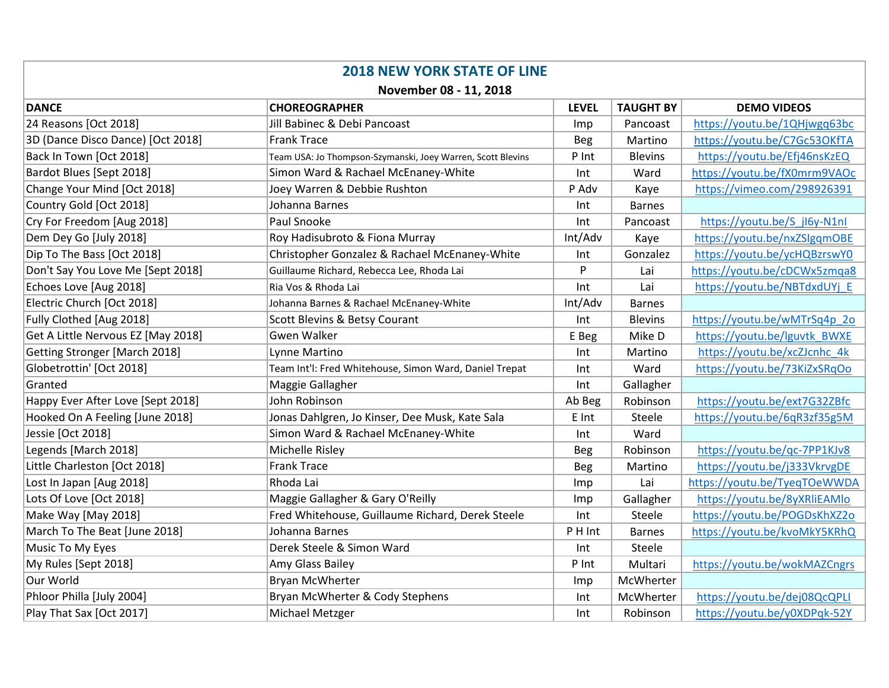| <b>2018 NEW YORK STATE OF LINE</b>   |                                                             |              |                  |                              |  |  |
|--------------------------------------|-------------------------------------------------------------|--------------|------------------|------------------------------|--|--|
| November 08 - 11, 2018               |                                                             |              |                  |                              |  |  |
| <b>DANCE</b>                         | <b>CHOREOGRAPHER</b>                                        | <b>LEVEL</b> | <b>TAUGHT BY</b> | <b>DEMO VIDEOS</b>           |  |  |
| 24 Reasons [Oct 2018]                | Jill Babinec & Debi Pancoast                                | Imp          | Pancoast         | https://youtu.be/1QHjwgq63bc |  |  |
| 3D (Dance Disco Dance) [Oct 2018]    | <b>Frank Trace</b>                                          | <b>Beg</b>   | Martino          | https://youtu.be/C7Gc53OKfTA |  |  |
| Back In Town [Oct 2018]              | Team USA: Jo Thompson-Szymanski, Joey Warren, Scott Blevins | P Int        | <b>Blevins</b>   | https://youtu.be/Efj46nsKzEQ |  |  |
| Bardot Blues [Sept 2018]             | Simon Ward & Rachael McEnaney-White                         | Int          | Ward             | https://youtu.be/fX0mrm9VAOc |  |  |
| Change Your Mind [Oct 2018]          | Joey Warren & Debbie Rushton                                | P Adv        | Kaye             | https://vimeo.com/298926391  |  |  |
| Country Gold [Oct 2018]              | Johanna Barnes                                              | Int          | <b>Barnes</b>    |                              |  |  |
| Cry For Freedom [Aug 2018]           | Paul Snooke                                                 | Int          | Pancoast         | https://youtu.be/S jl6y-N1nl |  |  |
| Dem Dey Go [July 2018]               | Roy Hadisubroto & Fiona Murray                              | Int/Adv      | Kaye             | https://youtu.be/nxZSIgqmOBE |  |  |
| Dip To The Bass [Oct 2018]           | Christopher Gonzalez & Rachael McEnaney-White               | Int          | Gonzalez         | https://youtu.be/ycHQBzrswY0 |  |  |
| Don't Say You Love Me [Sept 2018]    | Guillaume Richard, Rebecca Lee, Rhoda Lai                   | P            | Lai              | https://youtu.be/cDCWx5zmqa8 |  |  |
| Echoes Love [Aug 2018]               | Ria Vos & Rhoda Lai                                         | Int          | Lai              | https://youtu.be/NBTdxdUYj E |  |  |
| Electric Church [Oct 2018]           | Johanna Barnes & Rachael McEnaney-White                     | Int/Adv      | <b>Barnes</b>    |                              |  |  |
| Fully Clothed [Aug 2018]             | Scott Blevins & Betsy Courant                               | Int          | <b>Blevins</b>   | https://youtu.be/wMTrSq4p 2o |  |  |
| Get A Little Nervous EZ [May 2018]   | <b>Gwen Walker</b>                                          | E Beg        | Mike D           | https://youtu.be/lguvtk BWXE |  |  |
| <b>Getting Stronger [March 2018]</b> | Lynne Martino                                               | Int          | Martino          | https://youtu.be/xcZJcnhc 4k |  |  |
| Globetrottin' [Oct 2018]             | Team Int'l: Fred Whitehouse, Simon Ward, Daniel Trepat      | Int          | Ward             | https://youtu.be/73KiZxSRqOo |  |  |
| Granted                              | Maggie Gallagher                                            | Int          | Gallagher        |                              |  |  |
| Happy Ever After Love [Sept 2018]    | John Robinson                                               | Ab Beg       | Robinson         | https://youtu.be/ext7G32ZBfc |  |  |
| Hooked On A Feeling [June 2018]      | Jonas Dahlgren, Jo Kinser, Dee Musk, Kate Sala              | E Int        | Steele           | https://youtu.be/6qR3zf35g5M |  |  |
| Jessie [Oct 2018]                    | Simon Ward & Rachael McEnaney-White                         | Int          | Ward             |                              |  |  |
| Legends [March 2018]                 | Michelle Risley                                             | <b>Beg</b>   | Robinson         | https://youtu.be/qc-7PP1KJv8 |  |  |
| Little Charleston [Oct 2018]         | <b>Frank Trace</b>                                          | <b>Beg</b>   | Martino          | https://youtu.be/j333VkrvgDE |  |  |
| Lost In Japan [Aug 2018]             | Rhoda Lai                                                   | Imp          | Lai              | https://youtu.be/TyeqTOeWWDA |  |  |
| Lots Of Love [Oct 2018]              | Maggie Gallagher & Gary O'Reilly                            | Imp          | Gallagher        | https://youtu.be/8yXRliEAMlo |  |  |
| Make Way [May 2018]                  | Fred Whitehouse, Guillaume Richard, Derek Steele            | Int          | Steele           | https://youtu.be/POGDsKhXZ2o |  |  |
| March To The Beat [June 2018]        | Johanna Barnes                                              | P H Int      | <b>Barnes</b>    | https://youtu.be/kvoMkY5KRhQ |  |  |
| Music To My Eyes                     | Derek Steele & Simon Ward                                   | Int          | Steele           |                              |  |  |
| My Rules [Sept 2018]                 | Amy Glass Bailey                                            | P Int        | Multari          | https://youtu.be/wokMAZCngrs |  |  |
| Our World                            | Bryan McWherter                                             | Imp          | McWherter        |                              |  |  |
| Phloor Philla [July 2004]            | Bryan McWherter & Cody Stephens                             | Int          | McWherter        | https://youtu.be/dej08QcQPLI |  |  |
| Play That Sax [Oct 2017]             | Michael Metzger                                             | Int          | Robinson         | https://youtu.be/y0XDPqk-52Y |  |  |